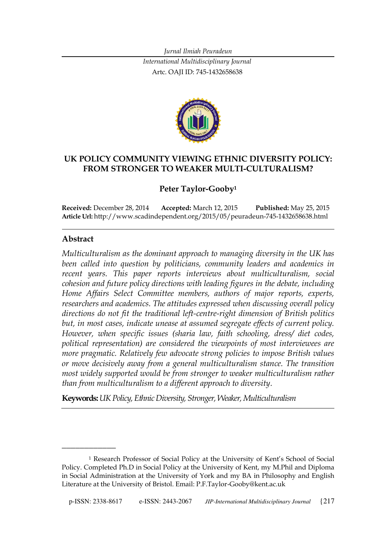*Jurnal Ilmiah Peuradeun International Multidisciplinary Journal*  Artc. OAJI ID: 745-1432658638



#### **UK POLICY COMMUNITY VIEWING ETHNIC DIVERSITY POLICY: FROM STRONGER TO WEAKER MULTI-CULTURALISM?**

### **Peter Taylor-Gooby<sup>1</sup>**

**Received:** December 28, 2014 **Accepted:** March 12, 2015 **Published:** May 25, 2015 **Article Url:** http://www.scadindependent.org/2015/05/peuradeun-745-1432658638.html

#### **Abstract**

\_\_\_\_\_\_\_\_\_\_\_\_

*Multiculturalism as the dominant approach to managing diversity in the UK has been called into question by politicians, community leaders and academics in* recent years. This paper reports interviews about multiculturalism, social *cohesion and future policy directions with leading figures in the debate, including Home Affairs Select Committee members, authors of major reports, experts, researchers and academics. The attitudes expressed when discussing overall policy directions do not fit the traditional left-centre-right dimension of British politics but, in most cases, indicate unease at assumed segregate effects of current policy. However, when specific issues (sharia law, faith schooling, dress/ diet codes, political representation) are considered the viewpoints of most interviewees are more pragmatic. Relatively few advocate strong policies to impose British values or move decisively away from a general multiculturalism stance. The transition most widely supported would be from stronger to weaker multiculturalism rather than from multiculturalism to a different approach to diversity.* 

**Keywords:** *UK Policy, Ethnic Diversity, Stronger, Weaker, Multiculturalism*

<sup>1</sup> Research Professor of Social Policy at the University of Kent's School of Social Policy. Completed Ph.D in Social Policy at the University of Kent, my M.Phil and Diploma in Social Administration at the University of York and my BA in Philosophy and English Literature at the University of Bristol. Email: P.F.Taylor-Gooby@kent.ac.uk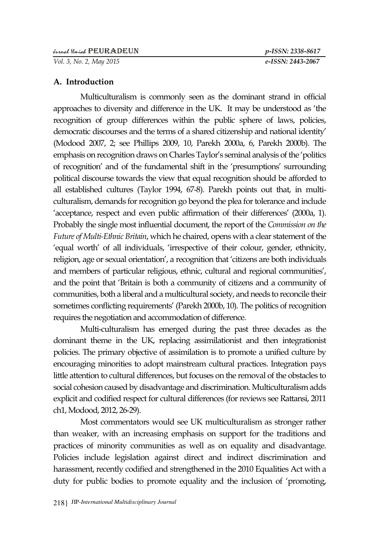#### **A. Introduction**

Multiculturalism is commonly seen as the dominant strand in official approaches to diversity and difference in the UK. It may be understood as 'the recognition of group differences within the public sphere of laws, policies, democratic discourses and the terms of a shared citizenship and national identity' (Modood 2007, 2; see Phillips 2009, 10, Parekh 2000a, 6, Parekh 2000b). The emphasis on recognition draws on Charles Taylor's seminal analysis of the 'politics of recognition' and of the fundamental shift in the 'presumptions' surrounding political discourse towards the view that equal recognition should be afforded to all established cultures (Taylor 1994, 67-8). Parekh points out that, in multiculturalism, demands for recognition go beyond the plea for tolerance and include 'acceptance, respect and even public affirmation of their differences' (2000a, 1). Probably the single most influential document, the report of the *Commission on the Future of Multi-Ethnic Britain*, which he chaired, opens with a clear statement of the 'equal worth' of all individuals, 'irrespective of their colour, gender, ethnicity, religion, age or sexual orientation', a recognition that 'citizens are both individuals and members of particular religious, ethnic, cultural and regional communities', and the point that 'Britain is both a community of citizens and a community of communities, both a liberal and a multicultural society, and needs to reconcile their sometimes conflicting requirements' (Parekh 2000b, 10). The politics of recognition requires the negotiation and accommodation of difference.

Multi-culturalism has emerged during the past three decades as the dominant theme in the UK, replacing assimilationist and then integrationist policies. The primary objective of assimilation is to promote a unified culture by encouraging minorities to adopt mainstream cultural practices. Integration pays little attention to cultural differences, but focuses on the removal of the obstacles to social cohesion caused by disadvantage and discrimination. Multiculturalism adds explicit and codified respect for cultural differences (for reviews see Rattansi, 2011 ch1, Modood, 2012, 26-29).

Most commentators would see UK multiculturalism as stronger rather than weaker, with an increasing emphasis on support for the traditions and practices of minority communities as well as on equality and disadvantage. Policies include legislation against direct and indirect discrimination and harassment, recently codified and strengthened in the 2010 Equalities Act with a duty for public bodies to promote equality and the inclusion of 'promoting,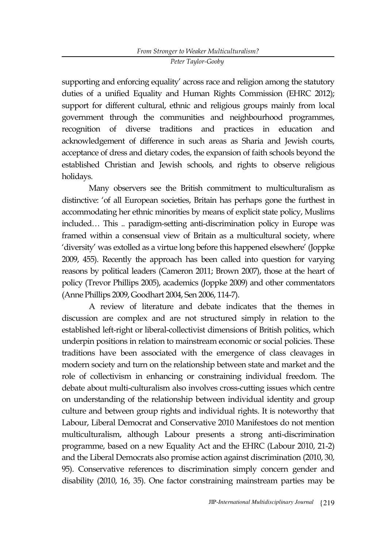supporting and enforcing equality' across race and religion among the statutory duties of a unified Equality and Human Rights Commission (EHRC 2012); support for different cultural, ethnic and religious groups mainly from local government through the communities and neighbourhood programmes, recognition of diverse traditions and practices in education and acknowledgement of difference in such areas as Sharia and Jewish courts, acceptance of dress and dietary codes, the expansion of faith schools beyond the established Christian and Jewish schools, and rights to observe religious holidays.

Many observers see the British commitment to multiculturalism as distinctive: 'of all European societies, Britain has perhaps gone the furthest in accommodating her ethnic minorities by means of explicit state policy, Muslims included… This .. paradigm-setting anti-discrimination policy in Europe was framed within a consensual view of Britain as a multicultural society, where 'diversity' was extolled as a virtue long before this happened elsewhere' (Joppke 2009, 455). Recently the approach has been called into question for varying reasons by political leaders (Cameron 2011; Brown 2007), those at the heart of policy (Trevor Phillips 2005), academics (Joppke 2009) and other commentators (Anne Phillips 2009, Goodhart 2004, Sen 2006, 114-7).

A review of literature and debate indicates that the themes in discussion are complex and are not structured simply in relation to the established left-right or liberal-collectivist dimensions of British politics, which underpin positions in relation to mainstream economic or social policies. These traditions have been associated with the emergence of class cleavages in modern society and turn on the relationship between state and market and the role of collectivism in enhancing or constraining individual freedom. The debate about multi-culturalism also involves cross-cutting issues which centre on understanding of the relationship between individual identity and group culture and between group rights and individual rights. It is noteworthy that Labour, Liberal Democrat and Conservative 2010 Manifestoes do not mention multiculturalism, although Labour presents a strong anti-discrimination programme, based on a new Equality Act and the EHRC (Labour 2010, 21-2) and the Liberal Democrats also promise action against discrimination (2010, 30, 95). Conservative references to discrimination simply concern gender and disability (2010, 16, 35). One factor constraining mainstream parties may be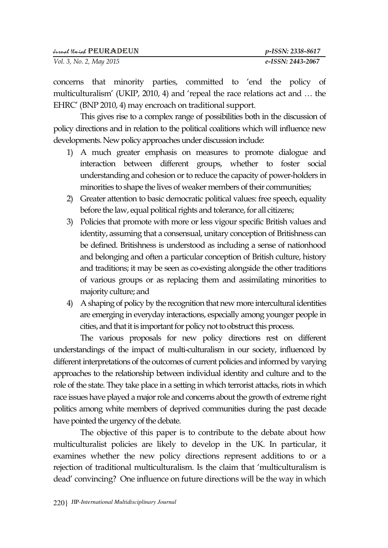| Jurnal Ilmiah PEURADEUN | p-ISSN: 2338-8617 |
|-------------------------|-------------------|
| Vol. 3, No. 2, May 2015 | e-ISSN: 2443-2067 |

concerns that minority parties, committed to 'end the policy of multiculturalism' (UKIP, 2010, 4) and 'repeal the race relations act and … the EHRC' (BNP 2010, 4) may encroach on traditional support.

This gives rise to a complex range of possibilities both in the discussion of policy directions and in relation to the political coalitions which will influence new developments. New policy approaches under discussion include:

- 1) A much greater emphasis on measures to promote dialogue and interaction between different groups, whether to foster social understanding and cohesion or to reduce the capacity of power-holders in minorities to shape the lives of weaker members of their communities;
- 2) Greater attention to basic democratic political values: free speech, equality before the law, equal political rights and tolerance, for all citizens;
- 3) Policies that promote with more or less vigour specific British values and identity, assuming that a consensual, unitary conception of Britishness can be defined. Britishness is understood as including a sense of nationhood and belonging and often a particular conception of British culture, history and traditions; it may be seen as co-existing alongside the other traditions of various groups or as replacing them and assimilating minorities to majority culture; and
- 4) A shaping of policy by the recognition that new more intercultural identities are emerging in everyday interactions, especially among younger people in cities, and that it is important for policy not to obstruct this process.

The various proposals for new policy directions rest on different understandings of the impact of multi-culturalism in our society, influenced by different interpretations of the outcomes of current policies and informed by varying approaches to the relationship between individual identity and culture and to the role of the state. They take place in a setting in which terrorist attacks, riots in which race issues have played a major role and concerns about the growth of extreme right politics among white members of deprived communities during the past decade have pointed the urgency of the debate.

The objective of this paper is to contribute to the debate about how multiculturalist policies are likely to develop in the UK. In particular, it examines whether the new policy directions represent additions to or a rejection of traditional multiculturalism. Is the claim that 'multiculturalism is dead' convincing? One influence on future directions will be the way in which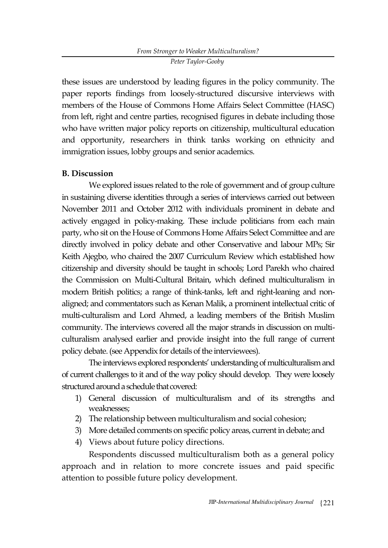these issues are understood by leading figures in the policy community. The paper reports findings from loosely-structured discursive interviews with members of the House of Commons Home Affairs Select Committee (HASC) from left, right and centre parties, recognised figures in debate including those who have written major policy reports on citizenship, multicultural education and opportunity, researchers in think tanks working on ethnicity and immigration issues, lobby groups and senior academics.

## **B. Discussion**

We explored issues related to the role of government and of group culture in sustaining diverse identities through a series of interviews carried out between November 2011 and October 2012 with individuals prominent in debate and actively engaged in policy-making. These include politicians from each main party, who sit on the House of Commons Home Affairs Select Committee and are directly involved in policy debate and other Conservative and labour MPs; Sir Keith Ajegbo, who chaired the 2007 Curriculum Review which established how citizenship and diversity should be taught in schools; Lord Parekh who chaired the Commission on Multi-Cultural Britain, which defined multiculturalism in modern British politics; a range of think-tanks, left and right-leaning and nonaligned; and commentators such as Kenan Malik, a prominent intellectual critic of multi-culturalism and Lord Ahmed, a leading members of the British Muslim community. The interviews covered all the major strands in discussion on multiculturalism analysed earlier and provide insight into the full range of current policy debate. (see Appendix for details of the interviewees).

The interviews explored respondents' understanding of multiculturalism and of current challenges to it and of the way policy should develop. They were loosely structured around a schedule that covered:

- 1) General discussion of multiculturalism and of its strengths and weaknesses;
- 2) The relationship between multiculturalism and social cohesion;
- 3) More detailed comments on specific policy areas, current in debate; and
- 4) Views about future policy directions.

Respondents discussed multiculturalism both as a general policy approach and in relation to more concrete issues and paid specific attention to possible future policy development.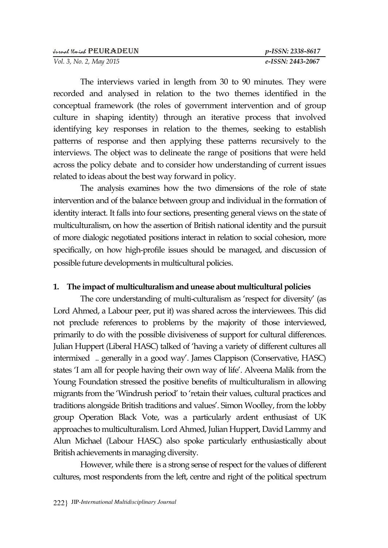The interviews varied in length from 30 to 90 minutes. They were recorded and analysed in relation to the two themes identified in the conceptual framework (the roles of government intervention and of group culture in shaping identity) through an iterative process that involved identifying key responses in relation to the themes, seeking to establish patterns of response and then applying these patterns recursively to the interviews. The object was to delineate the range of positions that were held across the policy debate and to consider how understanding of current issues related to ideas about the best way forward in policy.

The analysis examines how the two dimensions of the role of state intervention and of the balance between group and individual in the formation of identity interact. It falls into four sections, presenting general views on the state of multiculturalism, on how the assertion of British national identity and the pursuit of more dialogic negotiated positions interact in relation to social cohesion, more specifically, on how high-profile issues should be managed, and discussion of possible future developments in multicultural policies.

#### **1. The impact of multiculturalism and unease about multicultural policies**

The core understanding of multi-culturalism as 'respect for diversity' (as Lord Ahmed, a Labour peer, put it) was shared across the interviewees. This did not preclude references to problems by the majority of those interviewed, primarily to do with the possible divisiveness of support for cultural differences. Julian Huppert (Liberal HASC) talked of 'having a variety of different cultures all intermixed .. generally in a good way'. James Clappison (Conservative, HASC) states 'I am all for people having their own way of life'. Alveena Malik from the Young Foundation stressed the positive benefits of multiculturalism in allowing migrants from the 'Windrush period' to 'retain their values, cultural practices and traditions alongside British traditions and values'. Simon Woolley, from the lobby group Operation Black Vote, was a particularly ardent enthusiast of UK approaches to multiculturalism. Lord Ahmed, Julian Huppert, David Lammy and Alun Michael (Labour HASC) also spoke particularly enthusiastically about British achievements in managing diversity.

However, while there is a strong sense of respect for the values of different cultures, most respondents from the left, centre and right of the political spectrum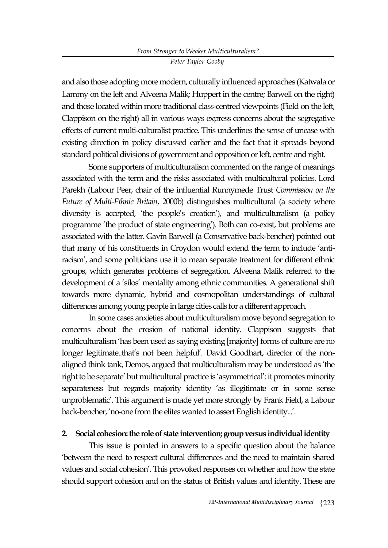and also those adopting more modern, culturally influenced approaches (Katwala or Lammy on the left and Alveena Malik; Huppert in the centre; Barwell on the right) and those located within more traditional class-centred viewpoints (Field on the left, Clappison on the right) all in various ways express concerns about the segregative effects of current multi-culturalist practice. This underlines the sense of unease with existing direction in policy discussed earlier and the fact that it spreads beyond standard political divisions of government and opposition or left, centre and right.

Some supporters of multiculturalism commented on the range of meanings associated with the term and the risks associated with multicultural policies. Lord Parekh (Labour Peer, chair of the influential Runnymede Trust *Commission on the Future of Multi-Ethnic Britain*, 2000b) distinguishes multicultural (a society where diversity is accepted, 'the people's creation'), and multiculturalism (a policy programme 'the product of state engineering'). Both can co-exist, but problems are associated with the latter. Gavin Barwell (a Conservative back-bencher) pointed out that many of his constituents in Croydon would extend the term to include 'antiracism', and some politicians use it to mean separate treatment for different ethnic groups, which generates problems of segregation. Alveena Malik referred to the development of a 'silos' mentality among ethnic communities. A generational shift towards more dynamic, hybrid and cosmopolitan understandings of cultural differences among young people in large cities calls for a different approach.

In some cases anxieties about multiculturalism move beyond segregation to concerns about the erosion of national identity. Clappison suggests that multiculturalism 'has been used as saying existing [majority] forms of culture are no longer legitimate..that's not been helpful'. David Goodhart, director of the nonaligned think tank, Demos, argued that multiculturalism may be understood as 'the right to be separate' but multicultural practice is 'asymmetrical': it promotes minority separateness but regards majority identity 'as illegitimate or in some sense unproblematic'. This argument is made yet more strongly by Frank Field, a Labour back-bencher, 'no-one from the elites wanted to assert English identity...'.

### **2. Social cohesion: the role of state intervention; group versus individual identity**

This issue is pointed in answers to a specific question about the balance 'between the need to respect cultural differences and the need to maintain shared values and social cohesion'. This provoked responses on whether and how the state should support cohesion and on the status of British values and identity. These are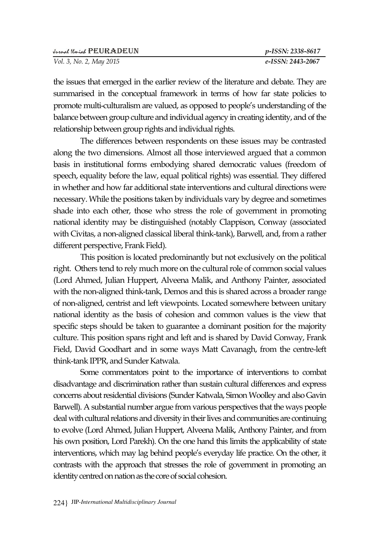| Jurnal Umiah PEURADEUN  | p-ISSN: 2338-8617 |
|-------------------------|-------------------|
| Vol. 3, No. 2, May 2015 | e-ISSN: 2443-2067 |

the issues that emerged in the earlier review of the literature and debate. They are summarised in the conceptual framework in terms of how far state policies to promote multi-culturalism are valued, as opposed to people's understanding of the balance between group culture and individual agency in creating identity, and of the relationship between group rights and individual rights.

The differences between respondents on these issues may be contrasted along the two dimensions. Almost all those interviewed argued that a common basis in institutional forms embodying shared democratic values (freedom of speech, equality before the law, equal political rights) was essential. They differed in whether and how far additional state interventions and cultural directions were necessary. While the positions taken by individuals vary by degree and sometimes shade into each other, those who stress the role of government in promoting national identity may be distinguished (notably Clappison, Conway (associated with Civitas, a non-aligned classical liberal think-tank), Barwell, and, from a rather different perspective, Frank Field).

This position is located predominantly but not exclusively on the political right. Others tend to rely much more on the cultural role of common social values (Lord Ahmed, Julian Huppert, Alveena Malik, and Anthony Painter, associated with the non-aligned think-tank, Demos and this is shared across a broader range of non-aligned, centrist and left viewpoints. Located somewhere between unitary national identity as the basis of cohesion and common values is the view that specific steps should be taken to guarantee a dominant position for the majority culture. This position spans right and left and is shared by David Conway, Frank Field, David Goodhart and in some ways Matt Cavanagh, from the centre-left think-tank IPPR, and Sunder Katwala.

Some commentators point to the importance of interventions to combat disadvantage and discrimination rather than sustain cultural differences and express concerns about residential divisions (Sunder Katwala, Simon Woolley and also Gavin Barwell). A substantial number argue from various perspectives that the ways people deal with cultural relations and diversity in their lives and communities are continuing to evolve (Lord Ahmed, Julian Huppert, Alveena Malik, Anthony Painter, and from his own position, Lord Parekh). On the one hand this limits the applicability of state interventions, which may lag behind people's everyday life practice. On the other, it contrasts with the approach that stresses the role of government in promoting an identity centred on nation as the core of social cohesion.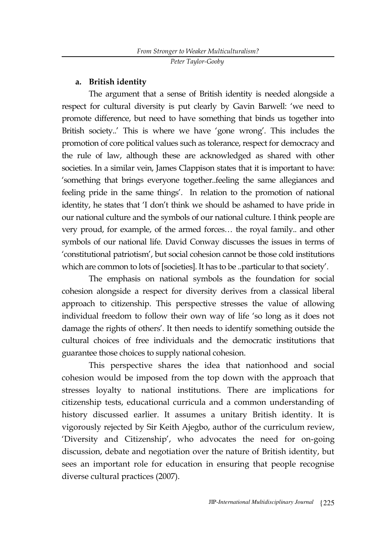### **a. British identity**

The argument that a sense of British identity is needed alongside a respect for cultural diversity is put clearly by Gavin Barwell: 'we need to promote difference, but need to have something that binds us together into British society..' This is where we have 'gone wrong'. This includes the promotion of core political values such as tolerance, respect for democracy and the rule of law, although these are acknowledged as shared with other societies. In a similar vein, James Clappison states that it is important to have: 'something that brings everyone together..feeling the same allegiances and feeling pride in the same things'. In relation to the promotion of national identity, he states that 'I don't think we should be ashamed to have pride in our national culture and the symbols of our national culture. I think people are very proud, for example, of the armed forces… the royal family.. and other symbols of our national life. David Conway discusses the issues in terms of 'constitutional patriotism', but social cohesion cannot be those cold institutions which are common to lots of [societies]. It has to be ..particular to that society'.

The emphasis on national symbols as the foundation for social cohesion alongside a respect for diversity derives from a classical liberal approach to citizenship. This perspective stresses the value of allowing individual freedom to follow their own way of life 'so long as it does not damage the rights of others'. It then needs to identify something outside the cultural choices of free individuals and the democratic institutions that guarantee those choices to supply national cohesion.

This perspective shares the idea that nationhood and social cohesion would be imposed from the top down with the approach that stresses loyalty to national institutions. There are implications for citizenship tests, educational curricula and a common understanding of history discussed earlier. It assumes a unitary British identity. It is vigorously rejected by Sir Keith Ajegbo, author of the curriculum review, 'Diversity and Citizenship', who advocates the need for on-going discussion, debate and negotiation over the nature of British identity, but sees an important role for education in ensuring that people recognise diverse cultural practices (2007).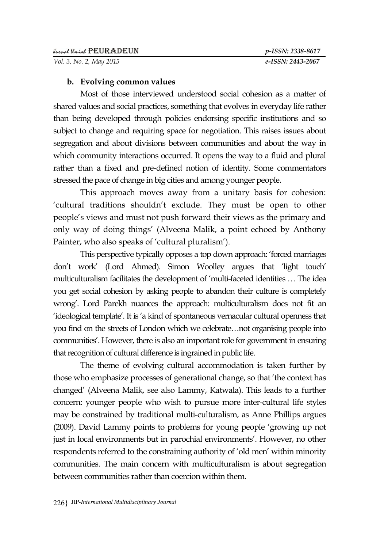#### **b. Evolving common values**

Most of those interviewed understood social cohesion as a matter of shared values and social practices, something that evolves in everyday life rather than being developed through policies endorsing specific institutions and so subject to change and requiring space for negotiation. This raises issues about segregation and about divisions between communities and about the way in which community interactions occurred. It opens the way to a fluid and plural rather than a fixed and pre-defined notion of identity. Some commentators stressed the pace of change in big cities and among younger people.

This approach moves away from a unitary basis for cohesion: 'cultural traditions shouldn't exclude. They must be open to other people's views and must not push forward their views as the primary and only way of doing things' (Alveena Malik, a point echoed by Anthony Painter, who also speaks of 'cultural pluralism').

This perspective typically opposes a top down approach: 'forced marriages don't work' (Lord Ahmed). Simon Woolley argues that 'light touch' multiculturalism facilitates the development of 'multi-faceted identities … The idea you get social cohesion by asking people to abandon their culture is completely wrong'. Lord Parekh nuances the approach: multiculturalism does not fit an 'ideological template'. It is 'a kind of spontaneous vernacular cultural openness that you find on the streets of London which we celebrate…not organising people into communities'. However, there is also an important role for government in ensuring that recognition of cultural difference is ingrained in public life.

The theme of evolving cultural accommodation is taken further by those who emphasize processes of generational change, so that 'the context has changed' (Alveena Malik, see also Lammy, Katwala). This leads to a further concern: younger people who wish to pursue more inter-cultural life styles may be constrained by traditional multi-culturalism, as Anne Phillips argues (2009). David Lammy points to problems for young people 'growing up not just in local environments but in parochial environments'. However, no other respondents referred to the constraining authority of 'old men' within minority communities. The main concern with multiculturalism is about segregation between communities rather than coercion within them.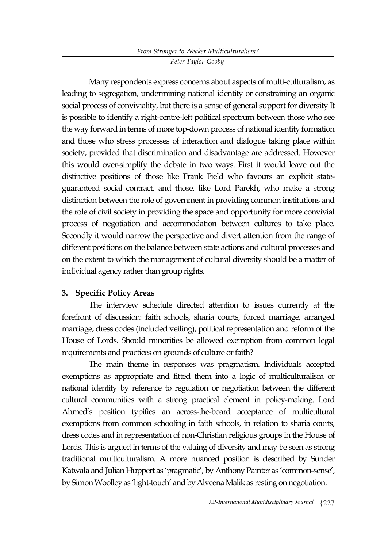Many respondents express concerns about aspects of multi-culturalism, as leading to segregation, undermining national identity or constraining an organic social process of conviviality, but there is a sense of general support for diversity It is possible to identify a right-centre-left political spectrum between those who see the way forward in terms of more top-down process of national identity formation and those who stress processes of interaction and dialogue taking place within society, provided that discrimination and disadvantage are addressed. However this would over-simplify the debate in two ways. First it would leave out the distinctive positions of those like Frank Field who favours an explicit stateguaranteed social contract, and those, like Lord Parekh, who make a strong distinction between the role of government in providing common institutions and the role of civil society in providing the space and opportunity for more convivial process of negotiation and accommodation between cultures to take place. Secondly it would narrow the perspective and divert attention from the range of different positions on the balance between state actions and cultural processes and on the extent to which the management of cultural diversity should be a matter of individual agency rather than group rights.

# **3. Specific Policy Areas**

The interview schedule directed attention to issues currently at the forefront of discussion: faith schools, sharia courts, forced marriage, arranged marriage, dress codes (included veiling), political representation and reform of the House of Lords. Should minorities be allowed exemption from common legal requirements and practices on grounds of culture or faith?

The main theme in responses was pragmatism. Individuals accepted exemptions as appropriate and fitted them into a logic of multiculturalism or national identity by reference to regulation or negotiation between the different cultural communities with a strong practical element in policy-making. Lord Ahmed's position typifies an across-the-board acceptance of multicultural exemptions from common schooling in faith schools, in relation to sharia courts, dress codes and in representation of non-Christian religious groups in the House of Lords. This is argued in terms of the valuing of diversity and may be seen as strong traditional multiculturalism. A more nuanced position is described by Sunder Katwala and Julian Huppert as 'pragmatic', by Anthony Painter as 'common-sense', by Simon Woolley as 'light-touch' and by Alveena Malik as resting on negotiation.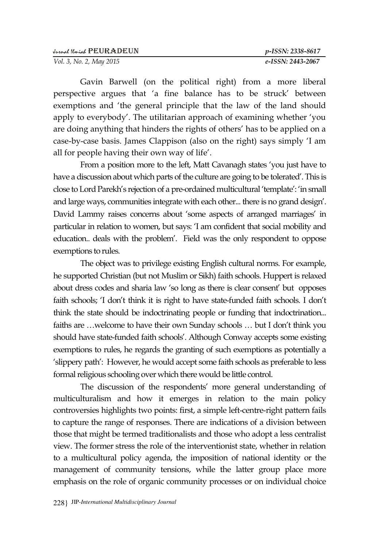Gavin Barwell (on the political right) from a more liberal perspective argues that 'a fine balance has to be struck' between exemptions and 'the general principle that the law of the land should apply to everybody'. The utilitarian approach of examining whether 'you are doing anything that hinders the rights of others' has to be applied on a case-by-case basis. James Clappison (also on the right) says simply 'I am all for people having their own way of life'.

From a position more to the left, Matt Cavanagh states 'you just have to have a discussion about which parts of the culture are going to be tolerated'. This is close to Lord Parekh's rejection of a pre-ordained multicultural 'template': 'in small and large ways, communities integrate with each other... there is no grand design'. David Lammy raises concerns about 'some aspects of arranged marriages' in particular in relation to women, but says: 'I am confident that social mobility and education.. deals with the problem'. Field was the only respondent to oppose exemptions to rules.

The object was to privilege existing English cultural norms. For example, he supported Christian (but not Muslim or Sikh) faith schools. Huppert is relaxed about dress codes and sharia law 'so long as there is clear consent' but opposes faith schools; 'I don't think it is right to have state-funded faith schools. I don't think the state should be indoctrinating people or funding that indoctrination... faiths are …welcome to have their own Sunday schools … but I don't think you should have state-funded faith schools'. Although Conway accepts some existing exemptions to rules, he regards the granting of such exemptions as potentially a 'slippery path': However, he would accept some faith schools as preferable to less formal religious schooling over which there would be little control.

The discussion of the respondents' more general understanding of multiculturalism and how it emerges in relation to the main policy controversies highlights two points: first, a simple left-centre-right pattern fails to capture the range of responses. There are indications of a division between those that might be termed traditionalists and those who adopt a less centralist view. The former stress the role of the interventionist state, whether in relation to a multicultural policy agenda, the imposition of national identity or the management of community tensions, while the latter group place more emphasis on the role of organic community processes or on individual choice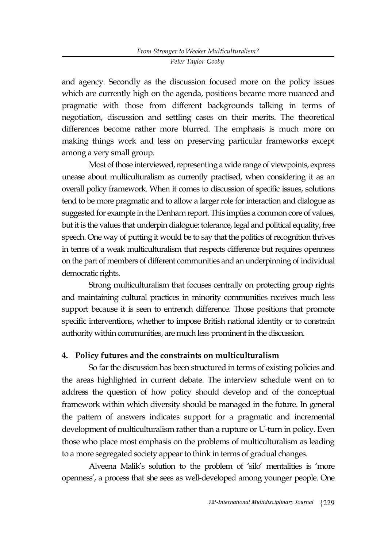and agency. Secondly as the discussion focused more on the policy issues which are currently high on the agenda, positions became more nuanced and pragmatic with those from different backgrounds talking in terms of negotiation, discussion and settling cases on their merits. The theoretical differences become rather more blurred. The emphasis is much more on making things work and less on preserving particular frameworks except among a very small group.

Most of those interviewed, representing a wide range of viewpoints, express unease about multiculturalism as currently practised, when considering it as an overall policy framework. When it comes to discussion of specific issues, solutions tend to be more pragmatic and to allow a larger role for interaction and dialogue as suggested for example in the Denham report. This implies a common core of values, but it is the values that underpin dialogue: tolerance, legal and political equality, free speech. One way of putting it would be to say that the politics of recognition thrives in terms of a weak multiculturalism that respects difference but requires openness on the part of members of different communities and an underpinning of individual democratic rights.

Strong multiculturalism that focuses centrally on protecting group rights and maintaining cultural practices in minority communities receives much less support because it is seen to entrench difference. Those positions that promote specific interventions, whether to impose British national identity or to constrain authority within communities, are much less prominent in the discussion.

# **4. Policy futures and the constraints on multiculturalism**

So far the discussion has been structured in terms of existing policies and the areas highlighted in current debate. The interview schedule went on to address the question of how policy should develop and of the conceptual framework within which diversity should be managed in the future. In general the pattern of answers indicates support for a pragmatic and incremental development of multiculturalism rather than a rupture or U-turn in policy. Even those who place most emphasis on the problems of multiculturalism as leading to a more segregated society appear to think in terms of gradual changes.

Alveena Malik's solution to the problem of 'silo' mentalities is 'more openness', a process that she sees as well-developed among younger people. One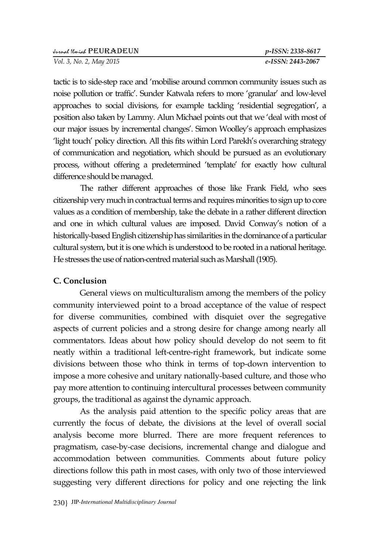tactic is to side-step race and 'mobilise around common community issues such as noise pollution or traffic'. Sunder Katwala refers to more 'granular' and low-level approaches to social divisions, for example tackling 'residential segregation', a position also taken by Lammy. Alun Michael points out that we 'deal with most of our major issues by incremental changes'. Simon Woolley's approach emphasizes 'light touch' policy direction. All this fits within Lord Parekh's overarching strategy of communication and negotiation, which should be pursued as an evolutionary process, without offering a predetermined 'template' for exactly how cultural difference should be managed.

The rather different approaches of those like Frank Field, who sees citizenship very much in contractual terms and requires minorities to sign up to core values as a condition of membership, take the debate in a rather different direction and one in which cultural values are imposed. David Conway's notion of a historically-based English citizenship has similarities in the dominance of a particular cultural system, but it is one which is understood to be rooted in a national heritage. He stresses the use of nation-centred material such as Marshall (1905).

### **C. Conclusion**

General views on multiculturalism among the members of the policy community interviewed point to a broad acceptance of the value of respect for diverse communities, combined with disquiet over the segregative aspects of current policies and a strong desire for change among nearly all commentators. Ideas about how policy should develop do not seem to fit neatly within a traditional left-centre-right framework, but indicate some divisions between those who think in terms of top-down intervention to impose a more cohesive and unitary nationally-based culture, and those who pay more attention to continuing intercultural processes between community groups, the traditional as against the dynamic approach.

As the analysis paid attention to the specific policy areas that are currently the focus of debate, the divisions at the level of overall social analysis become more blurred. There are more frequent references to pragmatism, case-by-case decisions, incremental change and dialogue and accommodation between communities. Comments about future policy directions follow this path in most cases, with only two of those interviewed suggesting very different directions for policy and one rejecting the link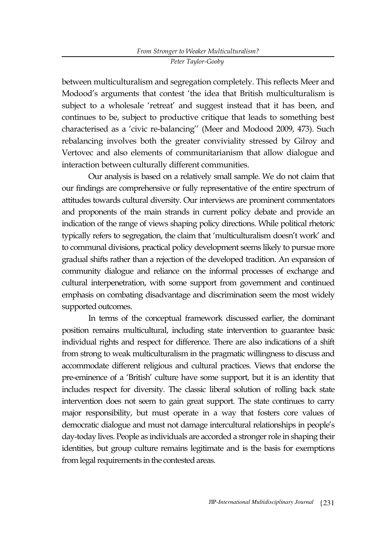between multiculturalism and segregation completely. This reflects Meer and Modood's arguments that contest 'the idea that British multiculturalism is subject to a wholesale 'retreat' and suggest instead that it has been, and continues to be, subject to productive critique that leads to something best characterised as a 'civic re-balancing'' (Meer and Modood 2009, 473). Such rebalancing involves both the greater conviviality stressed by Gilroy and Vertovec and also elements of communitarianism that allow dialogue and interaction between culturally different communities.

Our analysis is based on a relatively small sample. We do not claim that our findings are comprehensive or fully representative of the entire spectrum of attitudes towards cultural diversity. Our interviews are prominent commentators and proponents of the main strands in current policy debate and provide an indication of the range of views shaping policy directions. While political rhetoric typically refers to segregation, the claim that 'multiculturalism doesn't work' and to communal divisions, practical policy development seems likely to pursue more gradual shifts rather than a rejection of the developed tradition. An expansion of community dialogue and reliance on the informal processes of exchange and cultural interpenetration, with some support from government and continued emphasis on combating disadvantage and discrimination seem the most widely supported outcomes.

In terms of the conceptual framework discussed earlier, the dominant position remains multicultural, including state intervention to guarantee basic individual rights and respect for difference. There are also indications of a shift from strong to weak multiculturalism in the pragmatic willingness to discuss and accommodate different religious and cultural practices. Views that endorse the pre-eminence of a 'British' culture have some support, but it is an identity that includes respect for diversity. The classic liberal solution of rolling back state intervention does not seem to gain great support. The state continues to carry major responsibility, but must operate in a way that fosters core values of democratic dialogue and must not damage intercultural relationships in people's day-today lives. People as individuals are accorded a stronger role in shaping their identities, but group culture remains legitimate and is the basis for exemptions from legal requirements in the contested areas.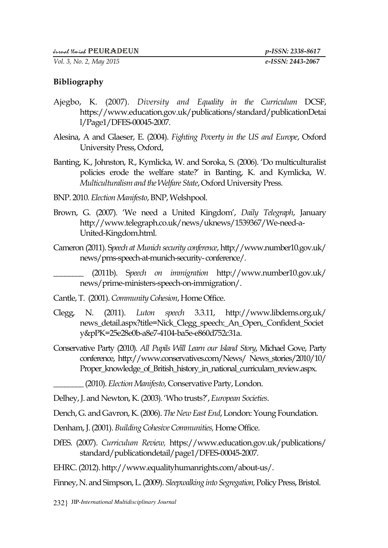#### **Bibliography**

- Ajegbo, K. (2007). *Diversity and Equality in the Curriculum* DCSF, https://www.education.gov.uk/publications/standard/publicationDetai l/Page1/DFES-00045-2007.
- Alesina, A and Glaeser, E. (2004). *Fighting Poverty in the US and Europe*, Oxford University Press, Oxford,
- Banting, K., Johnston, R., Kymlicka, W. and Soroka, S. (2006). 'Do multiculturalist policies erode the welfare state?' in Banting, K. and Kymlicka, W. *Multiculturalism and the Welfare State*, Oxford University Press.
- BNP. 2010. *Election Manifesto*, BNP, Welshpool.
- Brown, G. (2007). 'We need a United Kingdom', *Daily Telegraph*, January http://www.telegraph.co.uk/news/uknews/1539367/We-need-a-United-Kingdom.html.
- Cameron (2011). S*peech at Munich security conference*, http://www.number10.gov.uk/ news/pms-speech-at-munich-security- conference/.

\_\_\_\_\_\_\_\_ (2011b). S*peech on immigration* http://www.number10.gov.uk/ news/prime-ministers-speech-on-immigration/.

- Cantle, T. (2001). *Community Cohesion*, Home Office.
- Clegg, N. (2011). *Luton speech* 3.3.11, http://www.libdems.org.uk/ news\_detail.aspx?title=Nick\_Clegg\_speech:\_An\_Open,\_Confident\_Societ y&pPK=25e28e0b-a8e7-4104-ba5e-e860d752c31a.
- Conservative Party (2010). *All Pupils Will Learn our Island Story*, Michael Gove, Party conference, http://www.conservatives.com/News/ News\_stories/2010/10/ Proper\_knowledge\_of\_British\_history\_in\_national\_curriculam\_review.aspx.
	- \_\_\_\_\_\_\_\_ (2010). *Election Manifesto*, Conservative Party, London.

Delhey, J. and Newton, K. (2003). 'Who trusts?', *European Societies*.

Dench, G. and Gavron, K. (2006). *The New East End*, London: Young Foundation.

- Denham, J. (2001). *Building Cohesive Communities,* Home Office.
- DfES. (2007). *Curriculum Review,* https://www.education.gov.uk/publications/ standard/publicationdetail/page1/DFES-00045-2007.

EHRC. (2012). http://www.equalityhumanrights.com/about-us/.

Finney, N. and Simpson, L. (2009). *Sleepwalking into Segregation,* Policy Press, Bristol.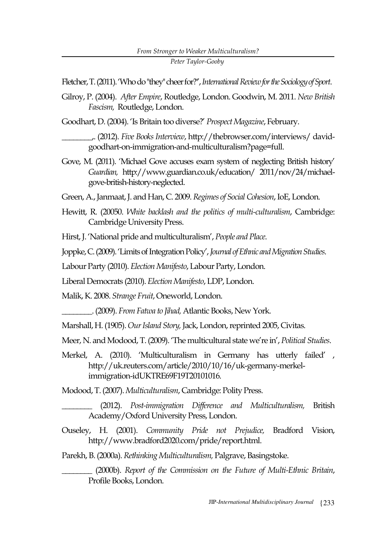Fletcher, T. (2011). 'Who do ''they'' cheer for?'', *International Review for the Sociology of Sport*.

Gilroy, P. (2004). *After Empire*, Routledge, London. Goodwin, M. 2011. *New British Fascism,* Routledge, London.

Goodhart, D. (2004). 'Is Britain too diverse?' *Prospect Magazine*, February.

\_\_\_\_\_\_\_\_,. (2012). *Five Books Interview*, http://thebrowser.com/interviews/ davidgoodhart-on-immigration-and-multiculturalism?page=full.

Gove, M. (2011). 'Michael Gove accuses exam system of neglecting British history' *Guardian,* http://www.guardian.co.uk/education/ 2011/nov/24/michaelgove-british-history-neglected.

Green, A., Janmaat, J. and Han, C. 2009. *Regimes of Social Cohesion*, IoE, London.

Hewitt, R. (20050. *White backlash and the politics of multi-culturalism*, Cambridge: Cambridge University Press.

Hirst, J. 'National pride and multiculturalism', *People and Place*.

Joppke, C. (2009). 'Limits of Integration Policy', *Journal of Ethnic and Migration Studies*.

Labour Party (2010). *Election Manifesto*, Labour Party, London.

Liberal Democrats (2010). *Election Manifesto*, LDP, London.

Malik, K. 2008. *Strange Fruit*, Oneworld, London.

\_\_\_\_\_\_\_\_. (2009). *From Fatwa to Jihad,* Atlantic Books, New York.

Marshall, H. (1905). *Our Island Story,* Jack, London, reprinted 2005, Civitas.

Meer, N. and Modood, T. (2009). 'The multicultural state we're in', *Political Studies*.

Merkel, A. (2010). 'Multiculturalism in Germany has utterly failed' , http://uk.reuters.com/article/2010/10/16/uk-germany-merkelimmigration-idUKTRE69F19T20101016.

Modood, T. (2007). *Multiculturalism*, Cambridge: Polity Press.

- \_\_\_\_\_\_\_\_ (2012). *Post-immigration Difference and Multiculturalism,* British Academy/Oxford University Press, London.
- Ouseley, H. (2001). *Community Pride not Prejudice,* Bradford Vision, http://www.bradford2020.com/pride/report.html.

Parekh, B. (2000a). *Rethinking Multiculturalism,* Palgrave, Basingstoke.

\_\_\_\_\_\_\_\_ (2000b). *Report of the Commission on the Future of Multi-Ethnic Britain*, Profile Books, London.